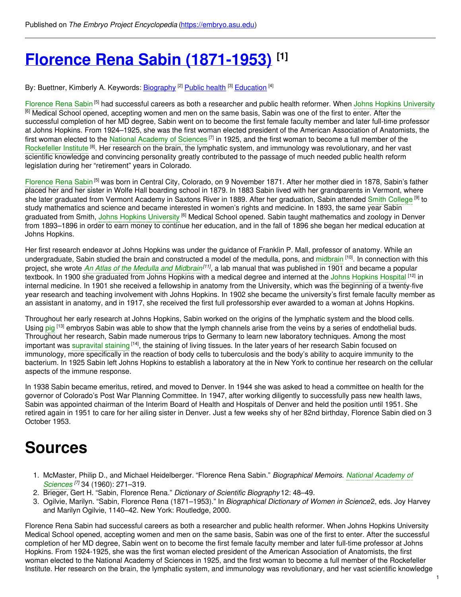# **Florence Rena Sabin [\(1871-1953\)](https://embryo.asu.edu/pages/florence-rena-sabin-1871-1953) [1]**

By: Buettner, Kimberly A. Keywords: <u>[Biography](https://embryo.asu.edu/keywords/biography) [2] [Public](https://embryo.asu.edu/keywords/public-health) health [3] [Education](https://embryo.asu.edu/keywords/education)</u> [4]

[Florence](https://embryo.asu.edu/search?text=Florence%20Rena%20Sabin) Rena Sabin<sup>[5]</sup> had successful careers as both a researcher and public health reformer. When Johns Hopkins [University](https://embryo.asu.edu/search?text=Johns%20Hopkins%20University) <sup>[6]</sup> Medical School opened, accepting women and men on the same basis, Sabin was one of the first to enter. After the successful completion of her MD degree, Sabin went on to become the first female faculty member and later full-time professor at Johns Hopkins. From 1924–1925, she was the first woman elected president of the American Association of Anatomists, the first woman elected to the National [Academy](https://embryo.asu.edu/search?text=National%20Academy%20of%20Sciences) of Sciences<sup>[7]</sup> in 1925, and the first woman to become a full member of the [Rockefeller](https://embryo.asu.edu/search?text=Rockefeller%20Institute) Institute<sup>[8]</sup>. Her research on the brain, the lymphatic system, and immunology was revolutionary, and her vast scientific knowledge and convincing personality greatly contributed to the passage of much needed public health reform legislation during her "retirement" years in Colorado.

[Florence](https://embryo.asu.edu/search?text=Florence%20Rena%20Sabin) Rena Sabin<sup>[5]</sup> was born in Central City, Colorado, on 9 November 1871. After her mother died in 1878, Sabin's father placed her and her sister in Wolfe Hall boarding school in 1879. In 1883 Sabin lived with her grandparents in Vermont, where she later graduated from Vermont Academy in Saxtons River in 1889. After her graduation, Sabin attended Smith [College](https://embryo.asu.edu/search?text=Smith%20College) <sup>[9]</sup> to study mathematics and science and became interested in women's rights and medicine. In 1893, the same year Sabin graduated from Smith, Johns Hopkins [University](https://embryo.asu.edu/search?text=Johns%20Hopkins%20University) <sup>[6]</sup> Medical School opened. Sabin taught mathematics and zoology in Denver from 1893–1896 in order to earn money to continue her education, and in the fall of 1896 she began her medical education at Johns Hopkins.

Her first research endeavor at Johns Hopkins was under the guidance of Franklin P. Mall, professor of anatomy. While an undergraduate, Sabin studied the brain and constructed a model of the medulla, pons, and [midbrain](https://embryo.asu.edu/search?text=midbrain) <sup>[10]</sup>. In connection with this project, she wrote *An Atlas of the Medulla and [Midbrain](https://embryo.asu.edu/search?text=An%20Atlas%20of%20the%20Medulla%20and%20Midbrain)<sup>[11]</sup>,* a lab manual that was published in 1901 and became a popular textbook. In 1900 she graduated from Johns [Hopkins](https://embryo.asu.edu/search?text=Johns%20Hopkins%20Hospital) with a medical degree and interned at the Johns Hopkins Hospital <sup>[12]</sup> in internal medicine. In 1901 she received a fellowship in anatomy from the University, which was the beginning of a twenty-five year research and teaching involvement with Johns Hopkins. In 1902 she became the university's first female faculty member as an assistant in anatomy, and in 1917, she received the first full professorship ever awarded to a woman at Johns Hopkins.

Throughout her early research at Johns Hopkins, Sabin worked on the origins of the lymphatic system and the blood cells. Using [pig](https://embryo.asu.edu/search?text=pig) <sup>[13]</sup> embryos Sabin was able to show that the lymph channels arise from the veins by a series of endothelial buds. Throughout her research, Sabin made numerous trips to Germany to learn new laboratory techniques. Among the most important was [supravital](https://embryo.asu.edu/search?text=supravital%20staining) staining [14], the staining of living tissues. In the later years of her research Sabin focused on immunology, more specifically in the reaction of body cells to tuberculosis and the body's ability to acquire immunity to the bacterium. In 1925 Sabin left Johns Hopkins to establish a laboratory at the in New York to continue her research on the cellular aspects of the immune response.

In 1938 Sabin became emeritus, retired, and moved to Denver. In 1944 she was asked to head a committee on health for the governor of Colorado's Post War Planning Committee. In 1947, after working diligently to successfully pass new health laws, Sabin was appointed chairman of the Interim Board of Health and Hospitals of Denver and held the position until 1951. She retired again in 1951 to care for her ailing sister in Denver. Just a few weeks shy of her 82nd birthday, Florence Sabin died on 3 October 1953.

## **Sources**

- 1. McMaster, Philip D., and Michael [Heidelberger.](https://embryo.asu.edu/search?text=National%20Academy%20of%20Sciences) "Florence Rena Sabin." *Biographical Memoirs. National Academy of Sciences [7]* 34 (1960): 271–319.
- 2. Brieger, Gert H. "Sabin, Florence Rena." *Dictionary of Scientific Biography* 12: 48–49.
- 3. Ogilvie, Marilyn. "Sabin, Florence Rena (1871–1953)." In *Biographical Dictionary of Women in Science*2, eds. Joy Harvey and Marilyn Ogilvie, 1140–42. New York: Routledge, 2000.

Florence Rena Sabin had successful careers as both a researcher and public health reformer. When Johns Hopkins University Medical School opened, accepting women and men on the same basis, Sabin was one of the first to enter. After the successful completion of her MD degree, Sabin went on to become the first female faculty member and later full-time professor at Johns Hopkins. From 1924-1925, she was the first woman elected president of the American Association of Anatomists, the first woman elected to the National Academy of Sciences in 1925, and the first woman to become a full member of the Rockefeller Institute. Her research on the brain, the lymphatic system, and immunology was revolutionary, and her vast scientific knowledge